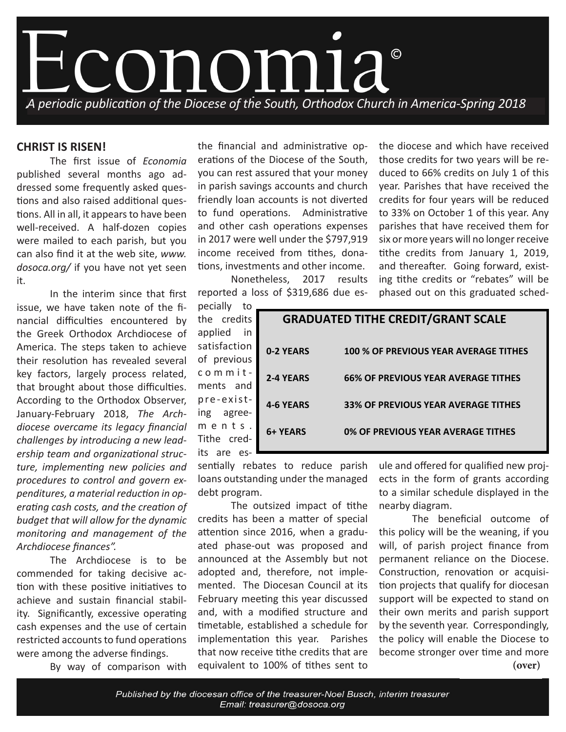

## **CHRIST IS RISEN!**

 The first issue of *Economia* published several months ago addressed some frequently asked questions and also raised additional questions. All in all, it appears to have been well-received. A half-dozen copies were mailed to each parish, but you can also find it at the web site, *www. dosoca.org/* if you have not yet seen it.

 In the interim since that first issue, we have taken note of the financial difficulties encountered by the Greek Orthodox Archdiocese of America. The steps taken to achieve their resolution has revealed several key factors, largely process related, that brought about those difficulties. According to the Orthodox Observer, January-February 2018, *The Archdiocese overcame its legacy financial challenges by introducing a new leadership team and organizational structure, implementing new policies and procedures to control and govern expenditures, a material reduction in operating cash costs, and the creation of budget that will allow for the dynamic monitoring and management of the Archdiocese finances".* 

The Archdiocese is to be commended for taking decisive action with these positive initiatives to achieve and sustain financial stability. Significantly, excessive operating cash expenses and the use of certain restricted accounts to fund operations were among the adverse findings.

 By way of comparison with

the financial and administrative operations of the Diocese of the South, you can rest assured that your money in parish savings accounts and church friendly loan accounts is not diverted to fund operations. Administrative and other cash operations expenses in 2017 were well under the \$797,919 income received from tithes, donations, investments and other income.

 Nonetheless, 2017 results reported a loss of \$319,686 due es-

pecially to the credits applied in satisfaction of previous commit ments and pre-existing agreements. Tithe credits are es-

| those credits for two years will be re-  |
|------------------------------------------|
| duced to 66% credits on July 1 of this   |
| year. Parishes that have received the    |
| credits for four years will be reduced   |
| to 33% on October 1 of this year. Any    |
| parishes that have received them for     |
| six or more years will no longer receive |
| tithe credits from January 1, 2019,      |
| and thereafter. Going forward, exist-    |
| ing tithe credits or "rebates" will be   |
| phased out on this graduated sched-      |
|                                          |

the diocese and which have received

| <b>GRADUATED TITHE CREDIT/GRANT SCALE</b> |                                            |  |
|-------------------------------------------|--------------------------------------------|--|
| 0-2 YEARS                                 | 100 % OF PREVIOUS YEAR AVERAGE TITHES      |  |
| <b>2-4 YEARS</b>                          | <b>66% OF PREVIOUS YEAR AVERAGE TITHES</b> |  |
| <b>4-6 YEARS</b>                          | <b>33% OF PREVIOUS YEAR AVERAGE TITHES</b> |  |
| 6+ YEARS                                  | 0% OF PREVIOUS YEAR AVERAGE TITHES         |  |

sentially rebates to reduce parish loans outstanding under the managed debt program.

 The outsized impact of tithe credits has been a matter of special attention since 2016, when a graduated phase-out was proposed and announced at the Assembly but not adopted and, therefore, not implemented. The Diocesan Council at its February meeting this year discussed and, with a modified structure and timetable, established a schedule for implementation this year. Parishes that now receive tithe credits that are equivalent to 100% of tithes sent to

ule and offered for qualified new projects in the form of grants according to a similar schedule displayed in the nearby diagram.

 The beneficial outcome of this policy will be the weaning, if you will, of parish project finance from permanent reliance on the Diocese. Construction, renovation or acquisition projects that qualify for diocesan support will be expected to stand on their own merits and parish support by the seventh year. Correspondingly, the policy will enable the Diocese to become stronger over time and more **(over)**

Published by the diocesan office of the treasurer-Noel Busch, interim treasurer Email: treasurer@dosoca.org